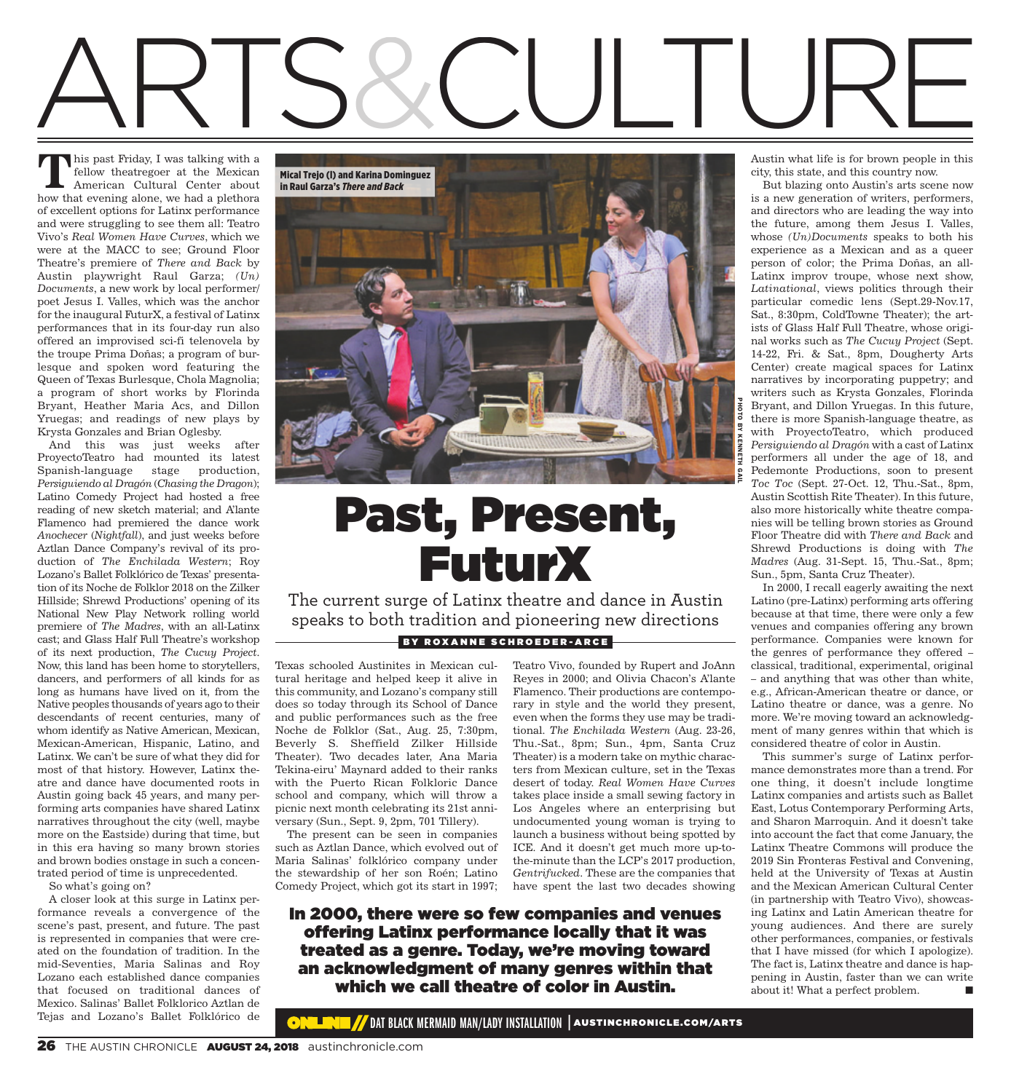# ARTS&CULTURE

his past Friday, I was talking with a fellow theatregoer at the Mexican American Cultural Center about **T** his past Friday, I was talking with a fellow theatregoer at the Mexican American Cultural Center about how that evening alone, we had a plethora of excellent options for Latinx performance and were struggling to see them all: Teatro Vivo's *Real Women Have Curves*, which we were at the MACC to see; Ground Floor Theatre's premiere of *There and Back* by Austin playwright Raul Garza; *(Un) Documents*, a new work by local performer/ poet Jesus I. Valles, which was the anchor for the inaugural FuturX, a festival of Latinx performances that in its four-day run also offered an improvised sci-fi telenovela by the troupe Prima Doñas; a program of burlesque and spoken word featuring the Queen of Texas Burlesque, Chola Magnolia; a program of short works by Florinda Bryant, Heather Maria Acs, and Dillon Yruegas; and readings of new plays by Krysta Gonzales and Brian Oglesby.

And this was just weeks after ProyectoTeatro had mounted its latest Spanish-language stage production, *Persiguiendo al Dragón* (*Chasing the Dragon*); Latino Comedy Project had hosted a free reading of new sketch material; and A'lante Flamenco had premiered the dance work *Anochecer* (*Nightfall*), and just weeks before Aztlan Dance Company's revival of its production of *The Enchilada Western*; Roy Lozano's Ballet Folklórico de Texas' presentation of its Noche de Folklor 2018 on the Zilker Hillside; Shrewd Productions' opening of its National New Play Network rolling world premiere of *The Madres*, with an all-Latinx cast; and Glass Half Full Theatre's workshop of its next production, *The Cucuy Project*. Now, this land has been home to storytellers, dancers, and performers of all kinds for as long as humans have lived on it, from the Native peoples thousands of years ago to their descendants of recent centuries, many of whom identify as Native American, Mexican, Mexican-American, Hispanic, Latino, and Latinx. We can't be sure of what they did for most of that history. However, Latinx theatre and dance have documented roots in Austin going back 45 years, and many performing arts companies have shared Latinx narratives throughout the city (well, maybe more on the Eastside) during that time, but in this era having so many brown stories and brown bodies onstage in such a concentrated period of time is unprecedented.

So what's going on?

A closer look at this surge in Latinx performance reveals a convergence of the scene's past, present, and future. The past is represented in companies that were created on the foundation of tradition. In the mid-Seventies, Maria Salinas and Roy Lozano each established dance companies that focused on traditional dances of Mexico. Salinas' Ballet Folklorico Aztlan de Tejas and Lozano's Ballet Folklórico de



### Past, Present, FuturX

The current surge of Latinx theatre and dance in Austin speaks to both tradition and pioneering new directions BY ROXANNE SCHROEDER-ARCE

Texas schooled Austinites in Mexican cultural heritage and helped keep it alive in this community, and Lozano's company still does so today through its School of Dance and public performances such as the free Noche de Folklor (Sat., Aug. 25, 7:30pm, Beverly S. Sheffield Zilker Hillside Theater). Two decades later, Ana Maria Tekina-eiru' Maynard added to their ranks with the Puerto Rican Folkloric Dance school and company, which will throw a picnic next month celebrating its 21st anniversary (Sun., Sept. 9, 2pm, 701 Tillery).

The present can be seen in companies such as Aztlan Dance, which evolved out of Maria Salinas' folklórico company under the stewardship of her son Roén; Latino Comedy Project, which got its start in 1997;

Teatro Vivo, founded by Rupert and JoAnn Reyes in 2000; and Olivia Chacon's A'lante Flamenco. Their productions are contemporary in style and the world they present, even when the forms they use may be traditional. *The Enchilada Western* (Aug. 23-26, Thu.-Sat., 8pm; Sun., 4pm, Santa Cruz Theater) is a modern take on mythic characters from Mexican culture, set in the Texas desert of today. *Real Women Have Curves* takes place inside a small sewing factory in Los Angeles where an enterprising but undocumented young woman is trying to launch a business without being spotted by ICE. And it doesn't get much more up-tothe-minute than the LCP's 2017 production, *Gentrifucked*. These are the companies that have spent the last two decades showing

In 2000, there were so few companies and venues offering Latinx performance locally that it was treated as a genre. Today, we're moving toward an acknowledgment of many genres within that which we call theatre of color in Austin.

Austin what life is for brown people in this city, this state, and this country now.

But blazing onto Austin's arts scene now is a new generation of writers, performers, and directors who are leading the way into the future, among them Jesus I. Valles, whose *(Un)Documents* speaks to both his experience as a Mexican and as a queer person of color; the Prima Doñas, an all-Latinx improv troupe, whose next show, *Latinational*, views politics through their particular comedic lens (Sept.29-Nov.17, Sat., 8:30pm, ColdTowne Theater); the artists of Glass Half Full Theatre, whose original works such as *The Cucuy Project* (Sept. 14-22, Fri. & Sat., 8pm, Dougherty Arts Center) create magical spaces for Latinx narratives by incorporating puppetry; and writers such as Krysta Gonzales, Florinda Bryant, and Dillon Yruegas. In this future, there is more Spanish-language theatre, as with ProyectoTeatro, which produced *Persiguiendo al Dragón* with a cast of Latinx performers all under the age of 18, and Pedemonte Productions, soon to present *Toc Toc* (Sept. 27-Oct. 12, Thu.-Sat., 8pm, Austin Scottish Rite Theater). In this future, also more historically white theatre companies will be telling brown stories as Ground Floor Theatre did with *There and Back* and Shrewd Productions is doing with *The Madres* (Aug. 31-Sept. 15, Thu.-Sat., 8pm; Sun., 5pm, Santa Cruz Theater).

In 2000, I recall eagerly awaiting the next Latino (pre-Latinx) performing arts offering because at that time, there were only a few venues and companies offering any brown performance. Companies were known for the genres of performance they offered – classical, traditional, experimental, original – and anything that was other than white, e.g., African-American theatre or dance, or Latino theatre or dance, was a genre. No more. We're moving toward an acknowledgment of many genres within that which is considered theatre of color in Austin.

This summer's surge of Latinx performance demonstrates more than a trend. For one thing, it doesn't include longtime Latinx companies and artists such as Ballet East, Lotus Contemporary Performing Arts, and Sharon Marroquin. And it doesn't take into account the fact that come January, the Latinx Theatre Commons will produce the 2019 Sin Fronteras Festival and Convening, held at the University of Texas at Austin and the Mexican American Cultural Center (in partnership with Teatro Vivo), showcasing Latinx and Latin American theatre for young audiences. And there are surely other performances, companies, or festivals that I have missed (for which I apologize). The fact is, Latinx theatre and dance is happening in Austin, faster than we can write about it! What a perfect problem.

**W** DAT BLACK MERMAID MAN/LADY INSTALLATION | AUSTINCHRONICLE.COM/ARTS